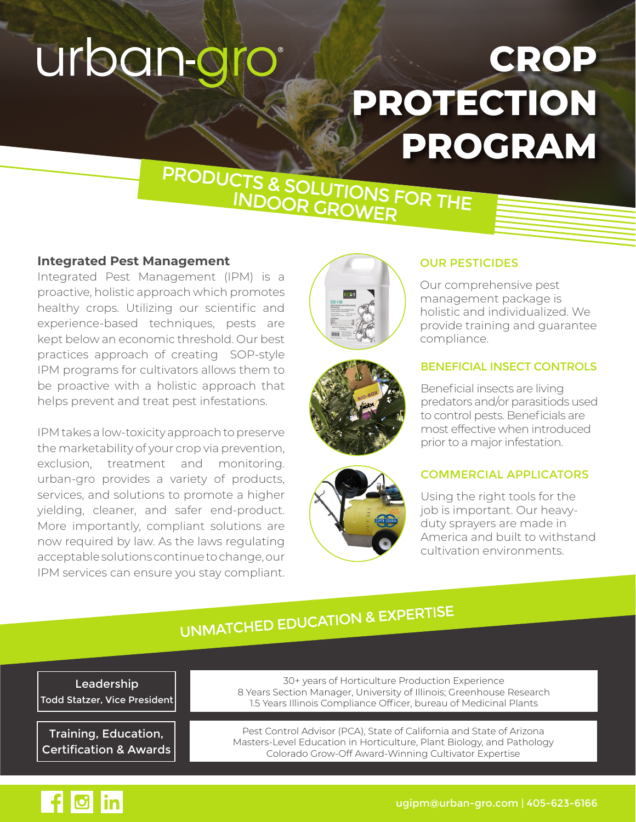# urban-gro

## **CROP PROTECTION PROGRAM**

# PRODUCTS & SOLUTIONS FOR THE INDOOR GROWER

#### **Integrated Pest Management**

Integrated Pest Management (IPM) is a proactive, holistic approach which promotes healthy crops. Utilizing our scientific and experience-based techniques, pests are kept below an economic threshold. Our best practices approach of creating SOP-style IPM programs for cultivators allows them to be proactive with a holistic approach that helps prevent and treat pest infestations.

IPM takes a low-toxicity approach to preserve the marketability of your crop via prevention, exclusion, treatment and monitoring. urban-gro provides a variety of products, services, and solutions to promote a higher yielding, cleaner, and safer end-product. More importantly, compliant solutions are now required by law. As the laws regulating acceptable solutions continue to change, our IPM services can ensure you stay compliant.







#### OUR PESTICIDES

Our comprehensive pest management package is holistic and individualized. We provide training and guarantee compliance.

#### BENEFICIAL INSECT CONTROLS

Beneficial insects are living predators and/or parasitiods used to control pests. Beneficials are most effective when introduced prior to a major infestation.

#### COMMERCIAL APPLICATORS

Using the right tools for the job is important. Our heavyduty sprayers are made in America and built to withstand cultivation environments.

## UNMATCHED EDUCATION & EXPERTISE

Leadership Todd Statzer, Vice President

Training, Education, Certification & Awards

30+ years of Horticulture Production Experience 8 Years Section Manager, University of Illinois; Greenhouse Research 1.5 Years Illinois Compliance Officer, bureau of Medicinal Plants

Pest Control Advisor (PCA), State of California and State of Arizona Masters-Level Education in Horticulture, Plant Biology, and Pathology Colorado Grow-Off Award-Winning Cultivator Expertise